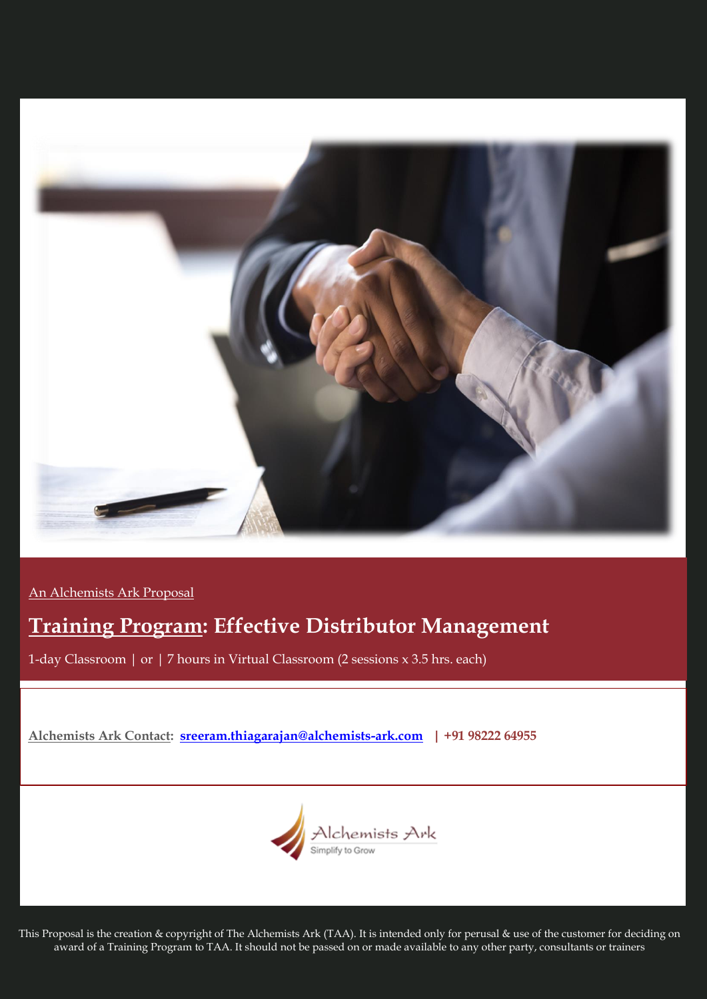

An Alchemists Ark Proposal

# **Training Program: Effective Distributor Management**

1-day Classroom | or | 7 hours in Virtual Classroom (2 sessions x 3.5 hrs. each)

# **Alchemists Ark Contact: [sreeram.thiagarajan@alchemists-ark.com](mailto:sreeram.thiagarajan@alchemists-ark.com) | +91 98222 64955**



This Proposal is the creation & copyright of The Alchemists Ark (TAA). It is intended only for perusal & use of the customer for deciding on award of a Training Program to TAA. It should not be passed on or made available to any other party, consultants or trainers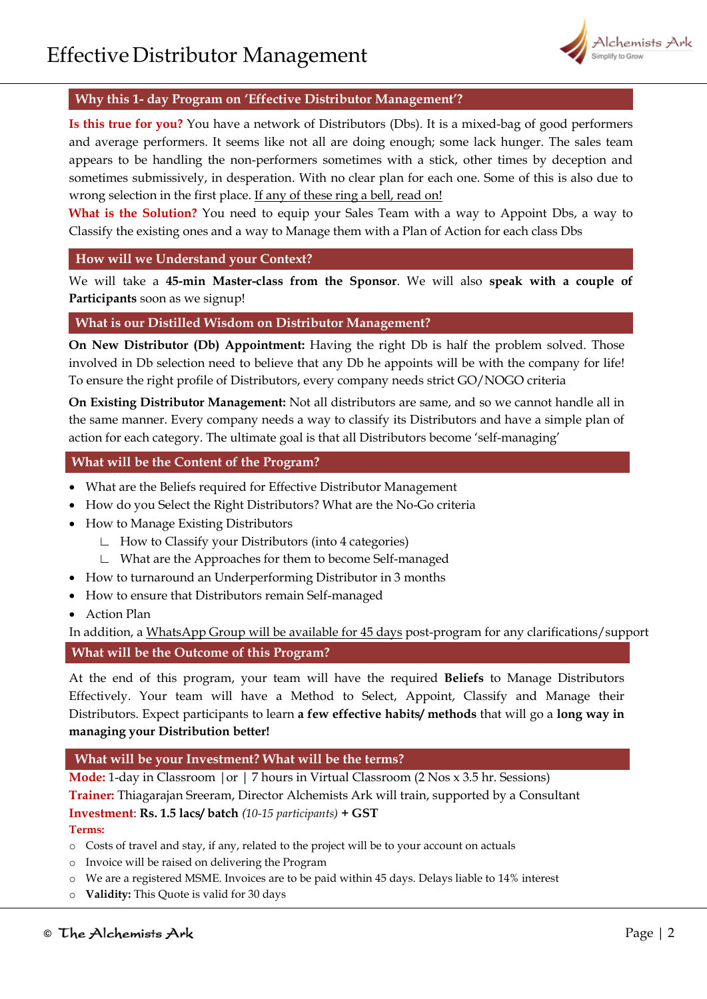

## **Why this 1- day Program on 'Effective Distributor Management'?**

**Is this true for you?** You have a network of Distributors (Dbs). It is a mixed-bag of good performers and average performers. It seems like not all are doing enough; some lack hunger. The sales team appears to be handling the non-performers sometimes with a stick, other times by deception and sometimes submissively, in desperation. With no clear plan for each one. Some of this is also due to wrong selection in the first place. If any of these ring a bell, read on!

What is the Solution? You need to equip your Sales Team with a way to Appoint Dbs, a way to Classify the existing ones and a way to Manage them with a Plan of Action for each class Dbs

#### **How will we Understand your Context?**

We will take a **45-min Master-class from the Sponsor**. We will also **speak with a couple of Participants** soon as we signup!

#### **What is our Distilled Wisdom on Distributor Management?**

**On New Distributor (Db) Appointment:** Having the right Db is half the problem solved. Those involved in Db selection need to believe that any Db he appoints will be with the company for life! To ensure the right profile of Distributors, every company needs strict GO/NOGO criteria

**On Existing Distributor Management:** Not all distributors are same, and so we cannot handle all in the same manner. Every company needs a way to classify its Distributors and have a simple plan of action for each category. The ultimate goal is that all Distributors become 'self-managing'

#### **What will be the Content of the Program?**

- What are the Beliefs required for Effective Distributor Management
- How do you Select the Right Distributors? What are the No-Go criteria
- How to Manage Existing Distributors
	- ∟ How to Classify your Distributors (into 4 categories)
	- ∟ What are the Approaches for them to become Self-managed
- How to turnaround an Underperforming Distributor in 3 months
- How to ensure that Distributors remain Self-managed
- Action Plan

In addition, a WhatsApp Group will be available for 45 days post-program for any clarifications/support

#### **What will be the Outcome of this Program?**

At the end of this program, your team will have the required **Beliefs** to Manage Distributors Effectively. Your team will have a Method to Select, Appoint, Classify and Manage their Distributors. Expect participants to learn **a few effective habits/ methods** that will go a **long way in managing your Distribution better!**

#### **What will be your Investment? What will be the terms?**

**Mode:** 1-day in Classroom |or | 7 hours in Virtual Classroom (2 Nos x 3.5 hr. Sessions) **Trainer:** Thiagarajan Sreeram, Director Alchemists Ark will train, supported by a Consultant **Investment**: **Rs. 1.5 lacs/ batch** *(10-15 participants)* **+ GST** 

# **Terms:**

- o Costs of travel and stay, if any, related to the project will be to your account on actuals
- o Invoice will be raised on delivering the Program
- o We are a registered MSME. Invoices are to be paid within 45 days. Delays liable to 14% interest
- o **Validity:** This Quote is valid for 30 days